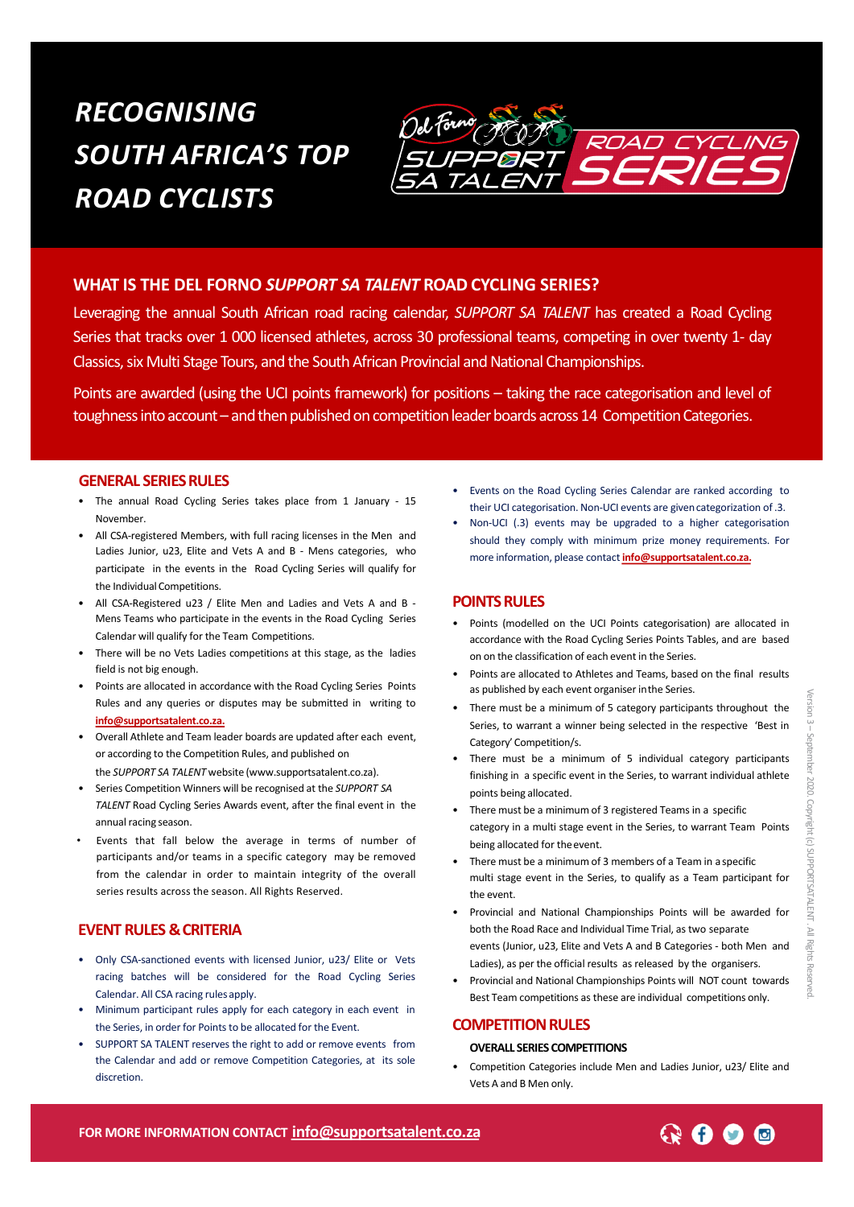# *RECOGNISING SOUTH AFRICA'S TOP ROAD CYCLISTS*



## **WHAT IS THE DEL FORNO** *SUPPORT SA TALENT* **ROAD CYCLING SERIES?**

Leveraging the annual South African road racing calendar, *SUPPORT SA TALENT* has created a Road Cycling Series that tracks over 1 000 licensed athletes, across 30 professional teams, competing in over twenty 1- day Classics, six Multi Stage Tours, and the South African Provincial and National Championships.

Points are awarded (using the UCI points framework) for positions – taking the race categorisation and level of toughness into account – and then published on competition leader boards across 14 Competition Categories.

#### **GENERAL SERIES RULES**

- The annual Road Cycling Series takes place from 1 January 15 November.
- All CSA-registered Members, with full racing licenses in the Men and Ladies Junior, u23, Elite and Vets A and B - Mens categories, who participate in the events in the Road Cycling Series will qualify for the Individual Competitions.
- All CSA-Registered u23 / Elite Men and Ladies and Vets A and B Mens Teams who participate in the events in the Road Cycling Series Calendar will qualify for the Team Competitions.
- There will be no Vets Ladies competitions at this stage, as the ladies field is not big enough.
- Points are allocated in accordance with the Road Cycling Series Points Rules and any queries or disputes may be submitted in writing to **[info@supportsatalent.co](mailto:info@supportsatalent.co.za).za.**
- Overall Athlete and Team leader boards are updated after each event, or according to the Competition Rules, and published on the *SUPPORT SA TALENT* website (www.supportsatalent.co.za).
- Series Competition Winners will be recognised at the *SUPPORT SA TALENT* Road Cycling Series Awards event, after the final event in the annual racing season.
- Events that fall below the average in terms of number of participants and/or teams in a specific category may be removed from the calendar in order to maintain integrity of the overall series results across the season. All Rights Reserved.

### **EVENT RULES &CRITERIA**

- Only CSA-sanctioned events with licensed Junior, u23/ Elite or Vets racing batches will be considered for the Road Cycling Series Calendar. All CSA racing rules apply.
- Minimum participant rules apply for each category in each event in the Series, in order for Points to be allocated for the Event.
- SUPPORT SA TALENT reserves the right to add or remove events from the Calendar and add or remove Competition Categories, at its sole discretion.
- Events on the Road Cycling Series Calendar are ranked according to their UCI categorisation. Non-UCI events are givencategorization of .3.
- Non-UCI (.3) events may be upgraded to a higher categorisation should they comply with minimum prize money requirements. For more information, please contact **[info@supportsatalent.co](mailto:info@supportsatalent.co.za).za.**

#### **POINTSRULES**

- Points (modelled on the UCI Points categorisation) are allocated in accordance with the Road Cycling Series Points Tables, and are based on on the classification of each event in the Series.
- Points are allocated to Athletes and Teams, based on the final results as published by each event organiser inthe Series.
- There must be a minimum of 5 category participants throughout the Series, to warrant a winner being selected in the respective 'Best in Category' Competition/s.
- There must be a minimum of 5 individual category participants finishing in a specific event in the Series, to warrant individual athlete points being allocated.
- There must be a minimum of 3 registered Teamsin a specific category in a multi stage event in the Series, to warrant Team Points being allocated for the event.
- There must be a minimum of 3 members of a Team in a specific multi stage event in the Series, to qualify as a Team participant for the event.
- Provincial and National Championships Points will be awarded for both the Road Race and Individual Time Trial, as two separate events (Junior, u23, Elite and Vets A and B Categories - both Men and Ladies), as per the official results as released by the organisers.
- Provincial and National Championships Points will NOT count towards Best Team competitions as these are individual competitions only.

#### **COMPETITION RULES**

#### **OVERALL SERIES COMPETITIONS**

• Competition Categories include Men and Ladies Junior, u23/ Elite and Vets A and B Men only.

Version 3 –

**FOR MORE INFORMATION CONTACT [info@supportsatalent.co.](mailto:info@supportsatalent.co.za)za**

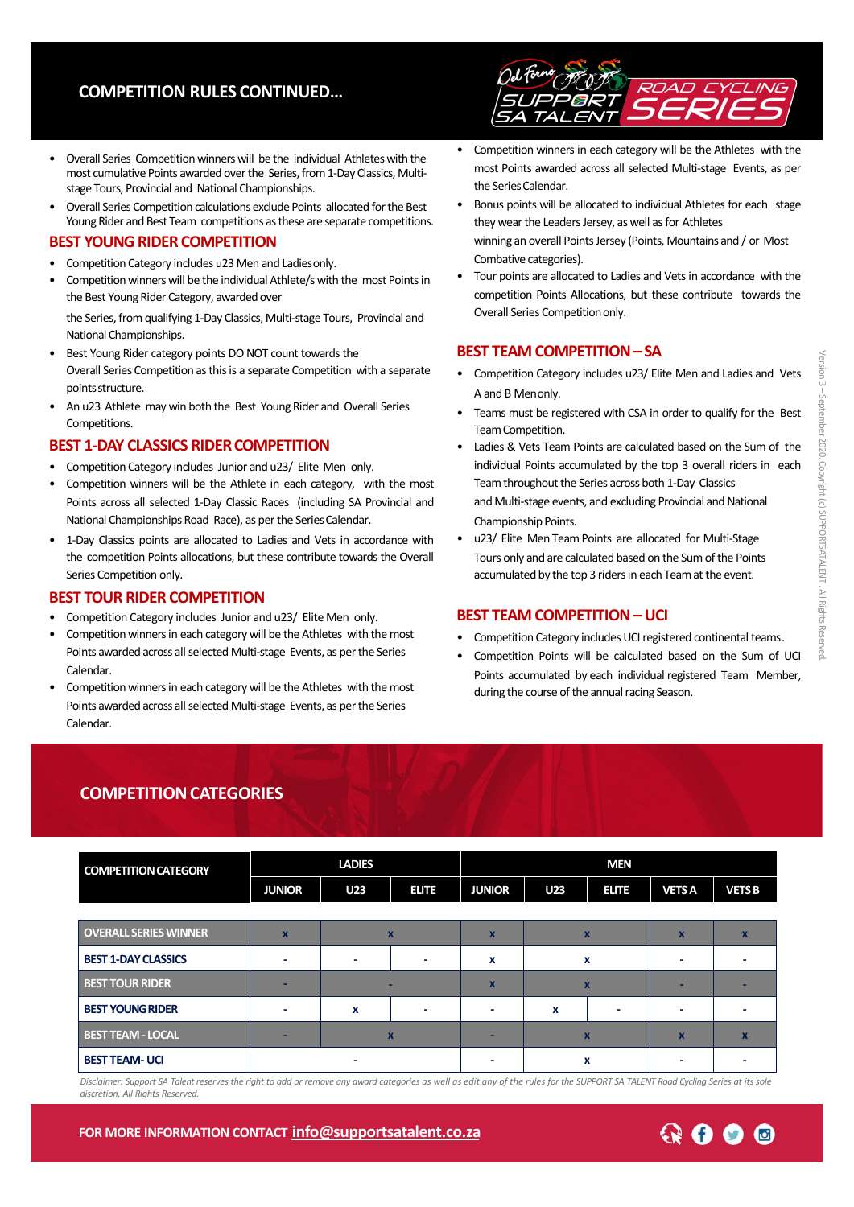# **COMPETITION RULES CONTINUED…**



- Overall Series Competition winners will be the individual Athletes with the most cumulative Points awarded over the Series, from 1-Day Classics, Multistage Tours, Provincial and National Championships.
- Overall Series Competition calculations exclude Points allocated for the Best Young Rider and Best Team competitions as these are separate competitions.

#### **BEST YOUNG RIDER COMPETITION**

- Competition Category includes u23 Men and Ladiesonly.
- Competition winners will be the individual Athlete/s with the most Points in the Best Young Rider Category, awarded over

the Series, from qualifying 1-Day Classics, Multi-stage Tours, Provincial and National Championships.

- Best Young Rider category points DO NOT count towards the Overall Series Competition as this is a separate Competition with a separate pointsstructure.
- An u23 Athlete may win both the Best Young Rider and Overall Series **Competitions**

#### **BEST 1-DAY CLASSICS RIDER COMPETITION**

- Competition Category includes Junior and u23/ Elite Men only.
- Competition winners will be the Athlete in each category, with the most Points across all selected 1-Day Classic Races (including SA Provincial and National Championships Road Race), as per the Series Calendar.
- 1-Day Classics points are allocated to Ladies and Vets in accordance with the competition Points allocations, but these contribute towards the Overall Series Competition only.

#### **BEST TOUR RIDER COMPETITION**

- Competition Category includes Junior and u23/ Elite Men only.
- Competition winners in each category will be the Athletes with the most Points awarded across all selected Multi-stage Events, as per the Series Calendar.
- Competition winners in each category will be the Athletes with the most Points awarded across all selected Multi-stage Events, as per the Series Calendar.
- Competition winners in each category will be the Athletes with the most Points awarded across all selected Multi-stage Events, as per the Series Calendar
- Bonus points will be allocated to individual Athletes for each stage they wear the Leaders Jersey, as well as for Athletes winning an overall Points Jersey (Points, Mountains and / or Most Combative categories).
- Tour points are allocated to Ladies and Vetsin accordance with the competition Points Allocations, but these contribute towards the Overall Series Competition only.

## **BEST TEAM COMPETITION–SA**

- Competition Category includes u23/ Elite Men and Ladies and Vets A and B Menonly.
- Teams must be registered with CSA in order to qualify for the Best TeamCompetition.
- Ladies & Vets Team Points are calculated based on the Sum of the individual Points accumulated by the top 3 overall riders in each Team throughout the Series across both 1-Day Classics and Multi-stage events, and excluding Provincial and National Championship Points.
- u23/ Elite Men Team Points are allocated for Multi-Stage Tours only and are calculated based on the Sum of the Points accumulated by the top 3 riders in each Team at the event.

### **BEST TEAM COMPETITION– UCI**

- Competition Category includes UCI registered continental teams.
- Competition Points will be calculated based on the Sum of UCI Points accumulated by each individual registered Team Member, during the course of the annual racing Season.

# **COMPETITION CATEGORIES**

| <b>COMPETITION CATEGORY</b>  |                           | <b>LADIES</b> |              | <b>MEN</b>              |                  |                           |              |               |
|------------------------------|---------------------------|---------------|--------------|-------------------------|------------------|---------------------------|--------------|---------------|
|                              | <b>JUNIOR</b>             | <b>U23</b>    | <b>ELITE</b> | <b>JUNIOR</b>           | <b>U23</b>       | <b>ELITE</b>              | <b>VETSA</b> | <b>VETS B</b> |
|                              |                           |               |              |                         |                  |                           |              |               |
| <b>OVERALL SERIES WINNER</b> | $\boldsymbol{\mathsf{x}}$ |               | $\mathbf x$  | X                       |                  | $\mathbf x$               | X            |               |
| <b>BEST 1-DAY CLASSICS</b>   |                           |               |              | x                       |                  | x                         |              |               |
| <b>BEST TOUR RIDER</b>       |                           |               |              | $\overline{\mathbf{x}}$ |                  | $\mathbf x$               |              |               |
| <b>BEST YOUNG RIDER</b>      |                           | X             |              |                         | $\boldsymbol{x}$ |                           |              |               |
| <b>BEST TEAM - LOCAL</b>     | -                         |               | $\mathbf x$  |                         |                  | $\boldsymbol{\mathsf{x}}$ | $\mathbf x$  |               |
| <b>BEST TEAM- UCI</b>        |                           |               |              |                         |                  | x                         |              |               |

Disclaimer: Support SA Talent reserves the right to add or remove any award categories as well as edit any of the rules for the SUPPORT SA TALENT Road Cycling Series at its sole *discretion. All Rights Reserved.*

**FOR MORE INFORMATION CONTACT [info@supportsatalent.co.](mailto:info@supportsatalent.co.za)za**